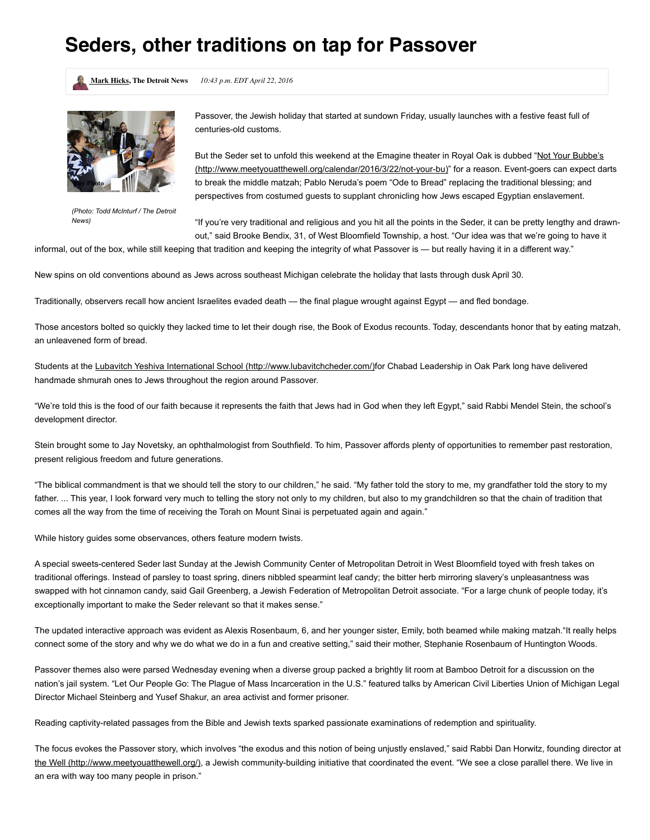## **Seders, other traditions on tap for Passover**

**Mark [Hicks,](http://www.detroitnews.com/staff/27533/mark-hicks/) The Detroit News** *10:43 p.m. EDT April 22, 2016*



*(Photo: Todd McInturf / The Detroit News)*

Passover, the Jewish holiday that started at sundown Friday, usually launches with a festive feast full of centuries-old customs.

But the Seder set to unfold this weekend at the Emagine theater in Royal Oak is dubbed "Not Your Bubbe's (http://www.meetyouatthewell.org/calendar/2016/3/22/not-your-bu)" for a reason. Event-goers can expect darts to break the middle matzah; Pablo Neruda's poem "Ode to Bread" replacing the traditional blessing; and perspectives from costumed guests to supplant chronicling how Jews escaped Egyptian enslavement.

"If you're very traditional and religious and you hit all the points in the Seder, it can be pretty lengthy and drawnout," said Brooke Bendix, 31, of West Bloomfield Township, a host. "Our idea was that we're going to have it

informal, out of the box, while still keeping that tradition and keeping the integrity of what Passover is — but really having it in a different way."

New spins on old conventions abound as Jews across southeast Michigan celebrate the holiday that lasts through dusk April 30.

Traditionally, observers recall how ancient Israelites evaded death — the final plague wrought against Egypt — and fled bondage.

Those ancestors bolted so quickly they lacked time to let their dough rise, the Book of Exodus recounts. Today, descendants honor that by eating matzah, an unleavened form of bread.

Students at the Lubavitch Yeshiva International School [\(http://www.lubavitchcheder.com/\)](http://www.lubavitchcheder.com/)for Chabad Leadership in Oak Park long have delivered handmade shmurah ones to Jews throughout the region around Passover.

"We're told this is the food of our faith because it represents the faith that Jews had in God when they left Egypt," said Rabbi Mendel Stein, the school's development director.

Stein brought some to Jay Novetsky, an ophthalmologist from Southfield. To him, Passover affords plenty of opportunities to remember past restoration, present religious freedom and future generations.

"The biblical commandment is that we should tell the story to our children," he said. "My father told the story to me, my grandfather told the story to my father. ... This year, I look forward very much to telling the story not only to my children, but also to my grandchildren so that the chain of tradition that comes all the way from the time of receiving the Torah on Mount Sinai is perpetuated again and again."

While history guides some observances, others feature modern twists.

A special sweets-centered Seder last Sunday at the Jewish Community Center of Metropolitan Detroit in West Bloomfield toyed with fresh takes on traditional offerings. Instead of parsley to toast spring, diners nibbled spearmint leaf candy; the bitter herb mirroring slavery's unpleasantness was swapped with hot cinnamon candy, said Gail Greenberg, a Jewish Federation of Metropolitan Detroit associate. "For a large chunk of people today, it's exceptionally important to make the Seder relevant so that it makes sense."

The updated interactive approach was evident as Alexis Rosenbaum, 6, and her younger sister, Emily, both beamed while making matzah."It really helps connect some of the story and why we do what we do in a fun and creative setting," said their mother, Stephanie Rosenbaum of Huntington Woods.

Passover themes also were parsed Wednesday evening when a diverse group packed a brightly lit room at Bamboo Detroit for a discussion on the nation's jail system. "Let Our People Go: The Plague of Mass Incarceration in the U.S." featured talks by American Civil Liberties Union of Michigan Legal Director Michael Steinberg and Yusef Shakur, an area activist and former prisoner.

Reading captivity-related passages from the Bible and Jewish texts sparked passionate examinations of redemption and spirituality.

The focus evokes the Passover story, which involves "the exodus and this notion of being unjustly enslaved," said Rabbi Dan Horwitz, founding director at the Well [\(http://www.meetyouatthewell.org/\)](http://www.meetyouatthewell.org/), a Jewish community-building initiative that coordinated the event. "We see a close parallel there. We live in an era with way too many people in prison."